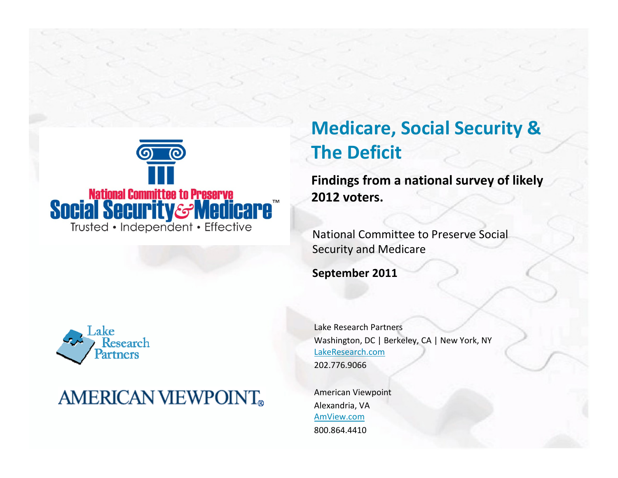

#### Research artners

### **AMERICAN VIEWPOINT®**

### Medicare, Social Security & The Deficit

Findings from a national survey of likely 2012 voters.

National Committee to Preserve Social Security and Medicare

September 2011

Lake Research PartnersWashington, DC | Berkeley, CA | New York, NYLakeResearch.com202.776.9066

American ViewpointAlexandria, VA AmView.com800.864.4410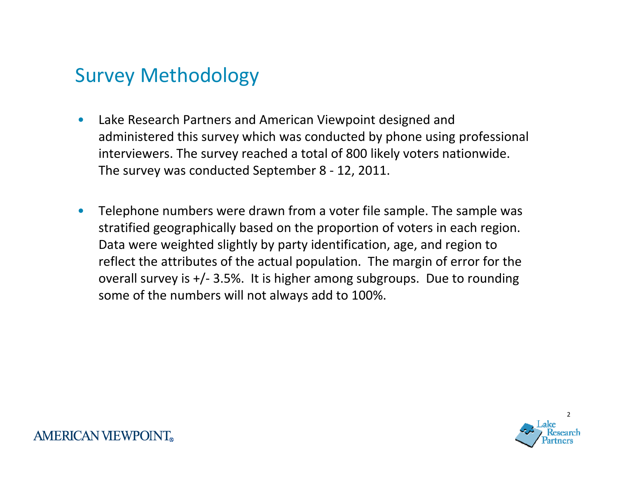#### Survey Methodology

- $\bullet$  Lake Research Partners and American Viewpoint designed and administered this survey which was conducted by phone using professional interviewers. The survey reached a total of 800 likely voters nationwide. The survey was conducted September 8 - 12, 2011.
- $\bullet$  Telephone numbers were drawn from a voter file sample. The sample was stratified geographically based on the proportion of voters in each region. Data were weighted slightly by party identification, age, and region to reflect the attributes of the actual population. The margin of error for the overall survey is +/- 3.5%. It is higher among subgroups. Due to rounding some of the numbers will not always add to 100%.

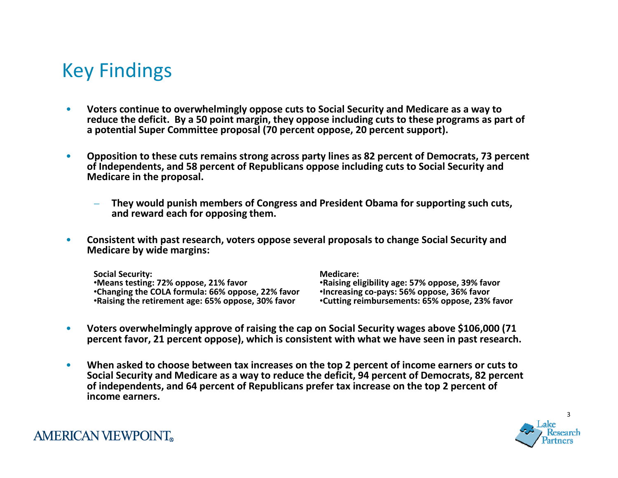#### Key Findings

- • Voters continue to overwhelmingly oppose cuts to Social Security and Medicare as a way to reduce the deficit. By a 50 point margin, they oppose including cuts to these programs as part of a potential Super Committee proposal (70 percent oppose, 20 percent support).
- $\bullet$  Opposition to these cuts remains strong across party lines as 82 percent of Democrats, 73 percent of Independents, and 58 percent of Republicans oppose including cuts to Social Security and Medicare in the proposal.
	- They would punish members of Congress and President Obama for supporting such cuts, and reward each for opposing them.
- $\bullet$  Consistent with past research, voters oppose several proposals to change Social Security and Medicare by wide margins:

Social Security: •Means testing: 72% oppose, 21% favor •Changing the COLA formula: 66% oppose, 22% favor•Raising the retirement age: 65% oppose, 30% favor

Medicare:

 •Raising eligibility age: 57% oppose, 39% favor•Increasing co-pays: 56% oppose, 36% favor•Cutting reimbursements: 65% oppose, 23% favor

- $\bullet$  Voters overwhelmingly approve of raising the cap on Social Security wages above \$106,000 (71 percent favor, 21 percent oppose), which is consistent with what we have seen in past research.
- $\bullet$  When asked to choose between tax increases on the top 2 percent of income earners or cuts to Social Security and Medicare as a way to reduce the deficit, 94 percent of Democrats, 82 percent of independents, and 64 percent of Republicans prefer tax increase on the top 2 percent of income earners.

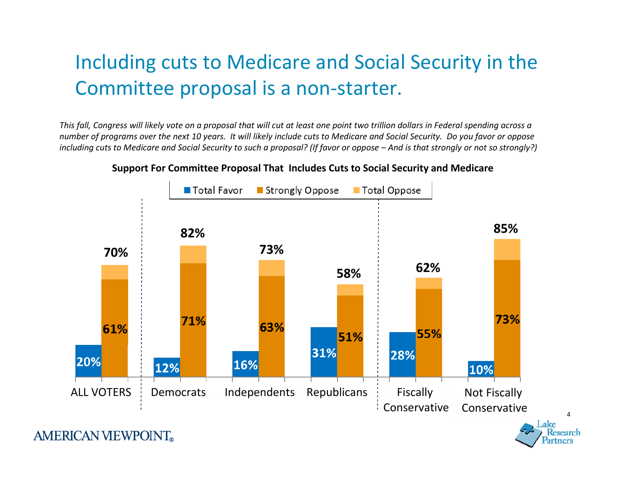## Including cuts to Medicare and Social Security in the Committee proposal is a non-starter.

This fall, Congress will likely vote on a proposal that will cut at least one point two trillion dollars in Federal spending across a number of programs over the next 10 years. It will likely include cuts to Medicare and Social Security. Do you favor or opposeincluding cuts to Medicare and Social Security to such a proposal? (If favor or oppose – And is that strongly or not so strongly?)



4

#### Support For Committee Proposal That Includes Cuts to Social Security and Medicare

**AMERICAN VIEWPOINT**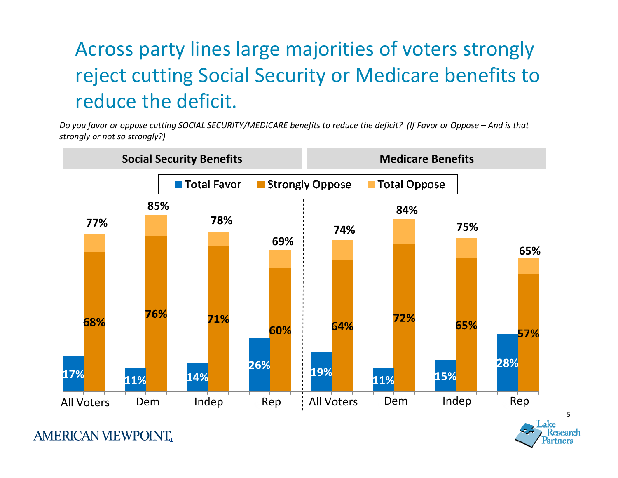# Across party lines large majorities of voters strongly reject cutting Social Security or Medicare benefits to reduce the deficit.

Do you favor or oppose cutting SOCIAL SECURITY/MEDICARE benefits to reduce the deficit? (If Favor or Oppose – And is that strongly or not so strongly?)



**AMERICAN VIEWPOINT**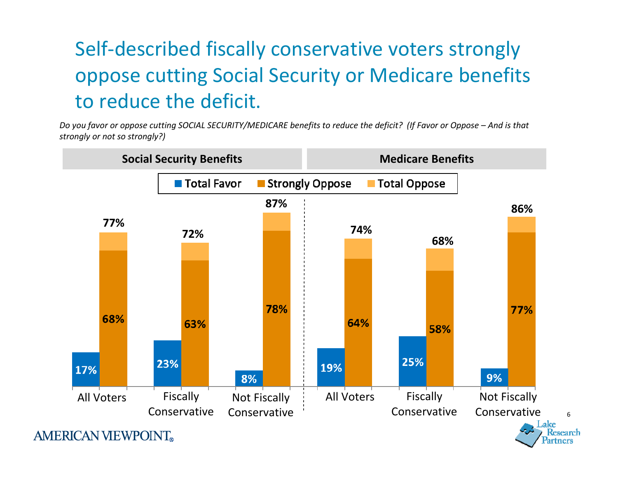# Self-described fiscally conservative voters strongly oppose cutting Social Security or Medicare benefitsto reduce the deficit.

Do you favor or oppose cutting SOCIAL SECURITY/MEDICARE benefits to reduce the deficit? (If Favor or Oppose – And is that strongly or not so strongly?)

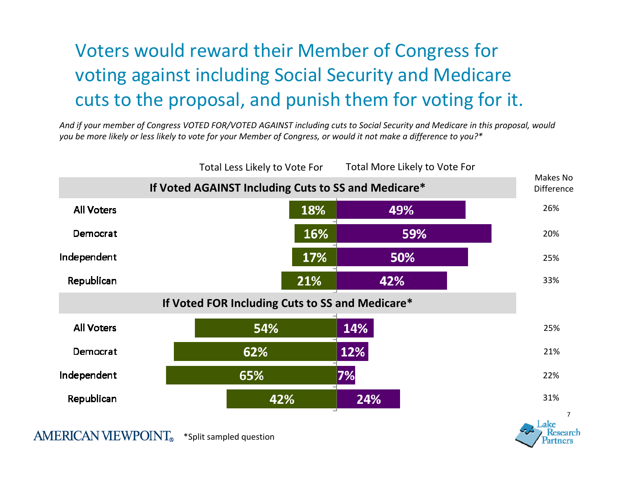## Voters would reward their Member of Congress for voting against including Social Security and Medicare cuts to the proposal, and punish them for voting for it.

And if your member of Congress VOTED FOR/VOTED AGAINST including cuts to Social Security and Medicare in this proposal, would you be more likely or less likely to vote for your Member of Congress, or would it not make a difference to you?\*

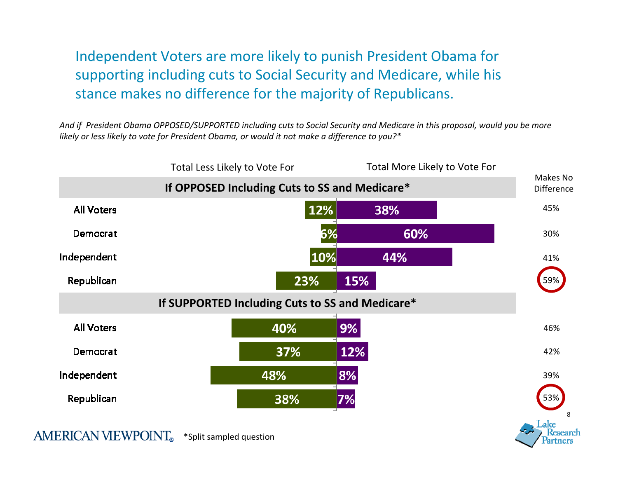Independent Voters are more likely to punish President Obama forsupporting including cuts to Social Security and Medicare, while his stance makes no difference for the majority of Republicans.

And if President Obama OPPOSED/SUPPORTED including cuts to Social Security and Medicare in this proposal, would you be more likely or less likely to vote for President Obama, or would it not make a difference to you?\*

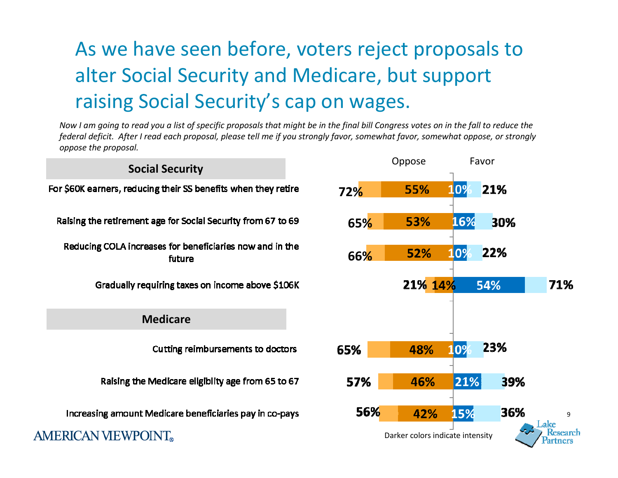## As we have seen before, voters reject proposals to alter Social Security and Medicare, but support raising Social Security's cap on wages.

Now I am going to read you a list of specific proposals that might be in the final bill Congress votes on in the fall to reduce the federal deficit. After I read each proposal, please tell me if you strongly favor, somewhat favor, somewhat oppose, or stronglyoppose the proposal.

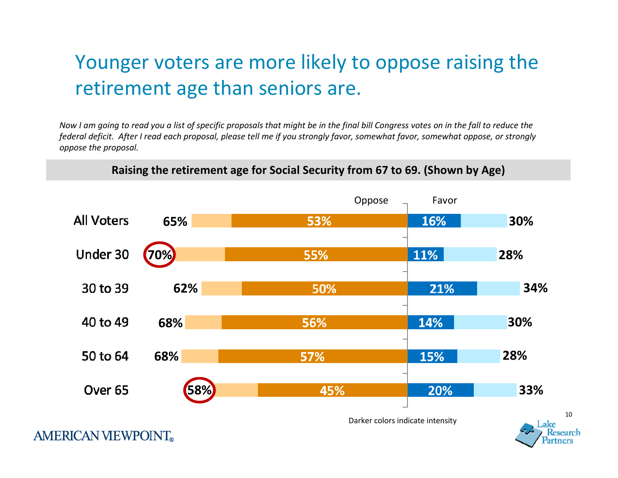## Younger voters are more likely to oppose raising the retirement age than seniors are.

Now I am going to read you a list of specific proposals that might be in the final bill Congress votes on in the fall to reduce the federal deficit. After I read each proposal, please tell me if you strongly favor, somewhat favor, somewhat oppose, or stronglyoppose the proposal.



#### Raising the retirement age for Social Security from 67 to 69. (Shown by Age)

10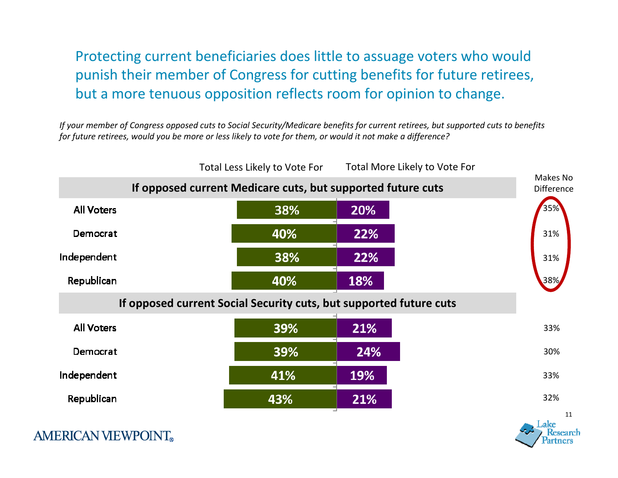#### Protecting current beneficiaries does little to assuage voters who would punish their member of Congress for cutting benefits for future retirees, but a more tenuous opposition reflects room for opinion to change.

If your member of Congress opposed cuts to Social Security/Medicare benefits for current retirees, but supported cuts to benefits for future retirees, would you be more or less likely to vote for them, or would it not make a difference?



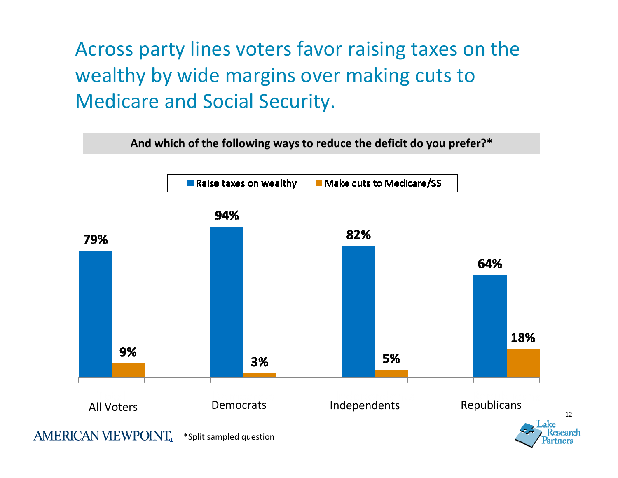Across party lines voters favor raising taxes on the wealthy by wide margins over making cuts to Medicare and Social Security.